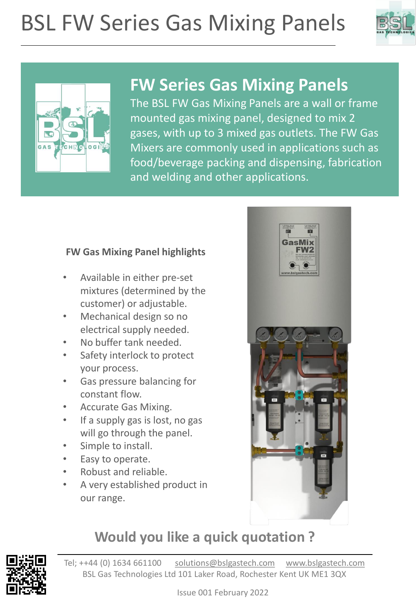# BSL FW Series Gas Mixing Panels





## **FW Series Gas Mixing Panels**

The BSL FW Gas Mixing Panels are a wall or frame mounted gas mixing panel, designed to mix 2 gases, with up to 3 mixed gas outlets. The FW Gas Mixers are commonly used in applications such as food/beverage packing and dispensing, fabrication and welding and other applications.

#### **FW Gas Mixing Panel highlights**

- Available in either pre-set mixtures (determined by the customer) or adjustable.
- Mechanical design so no electrical supply needed.
- No buffer tank needed.
- Safety interlock to protect your process.
- Gas pressure balancing for constant flow.
- Accurate Gas Mixing.
- If a supply gas is lost, no gas will go through the panel.
- Simple to install.
- Easy to operate.
- Robust and reliable.
- A very established product in our range.



#### **Would you like a quick quotation ?**

Tel; ++44 (0) 1634 661100 [solutions@bslgastech.com](mailto:solutions@bslgastech.com) [www.bslgastech.com](http://www.bslgastech.com/) BSL Gas Technologies Ltd 101 Laker Road, Rochester Kent UK ME1 3QX

Issue 001 February 2022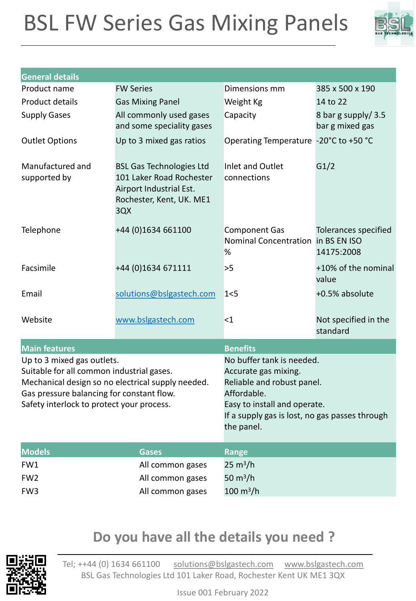# BSL FW Series Gas Mixing Panels



| <b>General details</b>                                                                                                                                                                                                 |                                                                                                                           |                                                                                                                                                                                                |                                       |
|------------------------------------------------------------------------------------------------------------------------------------------------------------------------------------------------------------------------|---------------------------------------------------------------------------------------------------------------------------|------------------------------------------------------------------------------------------------------------------------------------------------------------------------------------------------|---------------------------------------|
| Product name                                                                                                                                                                                                           | <b>FW Series</b>                                                                                                          | Dimensions mm                                                                                                                                                                                  | 385 x 500 x 190                       |
| Product details                                                                                                                                                                                                        | <b>Gas Mixing Panel</b>                                                                                                   | Weight Kg                                                                                                                                                                                      | 14 to 22                              |
| <b>Supply Gases</b>                                                                                                                                                                                                    | All commonly used gases<br>and some speciality gases                                                                      | Capacity                                                                                                                                                                                       | 8 bar g supply/3.5<br>bar g mixed gas |
| <b>Outlet Options</b>                                                                                                                                                                                                  | Up to 3 mixed gas ratios                                                                                                  | Operating Temperature -20°C to +50 °C                                                                                                                                                          |                                       |
| Manufactured and<br>supported by                                                                                                                                                                                       | <b>BSL Gas Technologies Ltd</b><br>101 Laker Road Rochester<br>Airport Industrial Est.<br>Rochester, Kent, UK. ME1<br>3QX | Inlet and Outlet<br>connections                                                                                                                                                                | G1/2                                  |
| Telephone                                                                                                                                                                                                              | +44 (0)1634 661100                                                                                                        | <b>Component Gas</b><br>Nominal Concentration in BS EN ISO<br>%                                                                                                                                | Tolerances specified<br>14175:2008    |
| Facsimile                                                                                                                                                                                                              | +44 (0)1634 671111                                                                                                        | >5                                                                                                                                                                                             | +10% of the nominal<br>value          |
| Email                                                                                                                                                                                                                  | solutions@bslgastech.com                                                                                                  | 1<5                                                                                                                                                                                            | +0.5% absolute                        |
| Website                                                                                                                                                                                                                | www.bslgastech.com                                                                                                        | $\leq$ 1                                                                                                                                                                                       | Not specified in the<br>standard      |
| <b>Main features</b>                                                                                                                                                                                                   |                                                                                                                           | <b>Benefits</b>                                                                                                                                                                                |                                       |
| Up to 3 mixed gas outlets.<br>Suitable for all common industrial gases.<br>Mechanical design so no electrical supply needed.<br>Gas pressure balancing for constant flow.<br>Safety interlock to protect your process. |                                                                                                                           | No buffer tank is needed.<br>Accurate gas mixing.<br>Reliable and robust panel.<br>Affordable.<br>Easy to install and operate.<br>If a supply gas is lost, no gas passes through<br>the panel. |                                       |
| <b>Models</b>                                                                                                                                                                                                          | <b>Gases</b>                                                                                                              | <b>Range</b>                                                                                                                                                                                   |                                       |
| FW1                                                                                                                                                                                                                    | All common gases                                                                                                          | $25 \text{ m}^3/h$                                                                                                                                                                             |                                       |
| FW <sub>2</sub>                                                                                                                                                                                                        | All common gases                                                                                                          | 50 $m^3/h$                                                                                                                                                                                     |                                       |
| FW <sub>3</sub>                                                                                                                                                                                                        | All common gases                                                                                                          | $100 \; \text{m}^3/\text{h}$                                                                                                                                                                   |                                       |

#### **Do you have all the details you need ?**



Tel; ++44 (0) 1634 661100 [solutions@bslgastech.com](mailto:solutions@bslgastech.com) [www.bslgastech.com](http://www.bslgastech.com/) BSL Gas Technologies Ltd 101 Laker Road, Rochester Kent UK ME1 3QX

Issue 001 February 2022